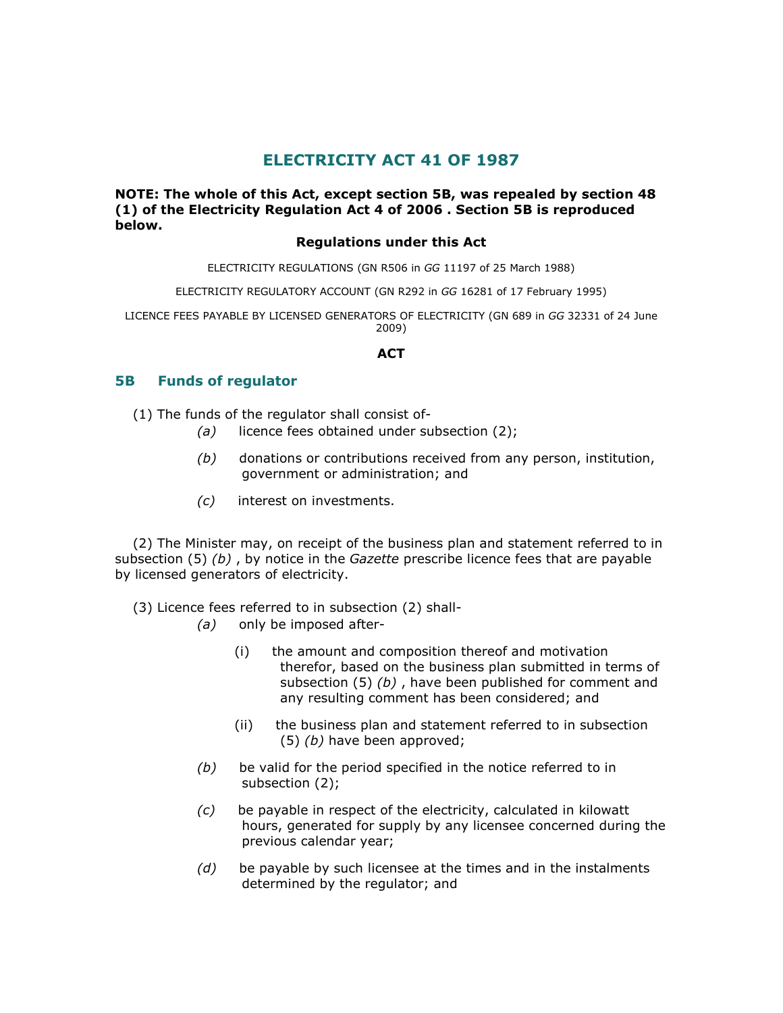# ELECTRICITY ACT 41 OF 1987

## NOTE: The whole of this Act, except section 5B, was repealed by section 48 (1) of the Electricity Regulation Act 4 of 2006 . Section 5B is reproduced below.

#### Regulations under this Act

ELECTRICITY REGULATIONS (GN R506 in GG 11197 of 25 March 1988)

ELECTRICITY REGULATORY ACCOUNT (GN R292 in GG 16281 of 17 February 1995)

LICENCE FEES PAYABLE BY LICENSED GENERATORS OF ELECTRICITY (GN 689 in GG 32331 of 24 June 2009)

#### ACT

## 5B Funds of regulator

(1) The funds of the regulator shall consist of-

- $(a)$  licence fees obtained under subsection  $(2)$ ;
- $(b)$  donations or contributions received from any person, institution, government or administration; and
- (c) interest on investments.

 (2) The Minister may, on receipt of the business plan and statement referred to in subsection  $(5)$  (b), by notice in the *Gazette* prescribe licence fees that are payable by licensed generators of electricity.

(3) Licence fees referred to in subsection (2) shall-

- (a) only be imposed after-
	- (i) the amount and composition thereof and motivation therefor, based on the business plan submitted in terms of subsection (5) (b), have been published for comment and any resulting comment has been considered; and
	- (ii) the business plan and statement referred to in subsection (5) (b) have been approved;
- $(b)$  be valid for the period specified in the notice referred to in subsection (2);
- (c) be payable in respect of the electricity, calculated in kilowatt hours, generated for supply by any licensee concerned during the previous calendar year;
- $(d)$  be payable by such licensee at the times and in the instalments determined by the regulator; and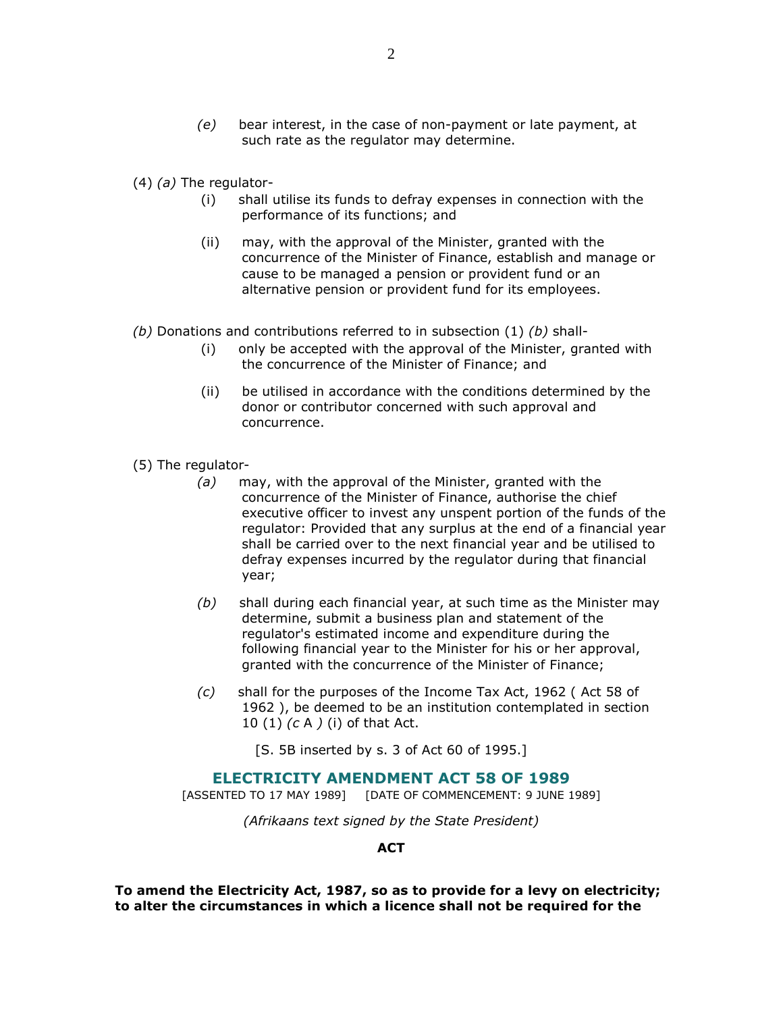(e) bear interest, in the case of non-payment or late payment, at such rate as the regulator may determine.

 $(4)$  (a) The regulator-

- (i) shall utilise its funds to defray expenses in connection with the performance of its functions; and
- (ii) may, with the approval of the Minister, granted with the concurrence of the Minister of Finance, establish and manage or cause to be managed a pension or provident fund or an alternative pension or provident fund for its employees.
- (b) Donations and contributions referred to in subsection (1) (b) shall-
	- (i) only be accepted with the approval of the Minister, granted with the concurrence of the Minister of Finance; and
	- (ii) be utilised in accordance with the conditions determined by the donor or contributor concerned with such approval and concurrence.
- (5) The regulator-
	- $(a)$  may, with the approval of the Minister, granted with the concurrence of the Minister of Finance, authorise the chief executive officer to invest any unspent portion of the funds of the regulator: Provided that any surplus at the end of a financial year shall be carried over to the next financial year and be utilised to defray expenses incurred by the regulator during that financial year;
	- $(b)$  shall during each financial year, at such time as the Minister may determine, submit a business plan and statement of the regulator's estimated income and expenditure during the following financial year to the Minister for his or her approval, granted with the concurrence of the Minister of Finance;
	- (c) shall for the purposes of the Income Tax Act, 1962 ( Act 58 of 1962 ), be deemed to be an institution contemplated in section 10 (1) (c A ) (i) of that Act.

[S. 5B inserted by s. 3 of Act 60 of 1995.]

## ELECTRICITY AMENDMENT ACT 58 OF 1989

[ASSENTED TO 17 MAY 1989] [DATE OF COMMENCEMENT: 9 JUNE 1989]

(Afrikaans text signed by the State President)

#### **ACT**

To amend the Electricity Act, 1987, so as to provide for a levy on electricity; to alter the circumstances in which a licence shall not be required for the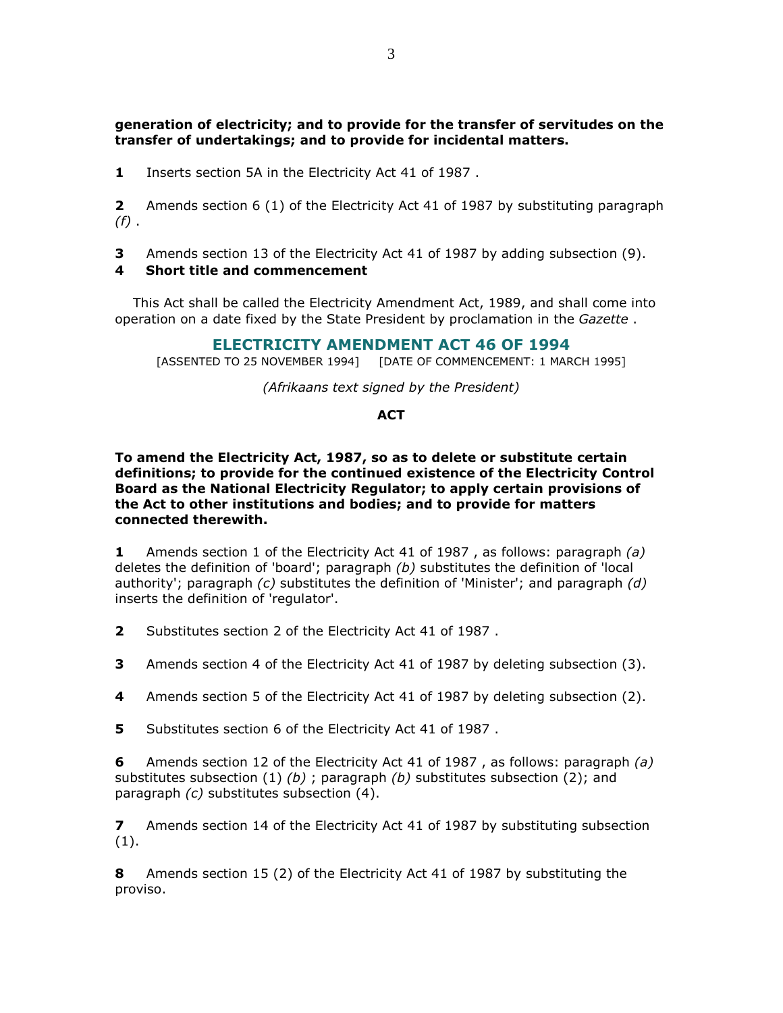## generation of electricity; and to provide for the transfer of servitudes on the transfer of undertakings; and to provide for incidental matters.

1 Inserts section 5A in the Electricity Act 41 of 1987.

2 Amends section 6 (1) of the Electricity Act 41 of 1987 by substituting paragraph  $(f)$ .

3 Amends section 13 of the Electricity Act 41 of 1987 by adding subsection (9).

## 4 Short title and commencement

 This Act shall be called the Electricity Amendment Act, 1989, and shall come into operation on a date fixed by the State President by proclamation in the Gazette.

## ELECTRICITY AMENDMENT ACT 46 OF 1994

[ASSENTED TO 25 NOVEMBER 1994] [DATE OF COMMENCEMENT: 1 MARCH 1995]

(Afrikaans text signed by the President)

#### **ACT**

#### To amend the Electricity Act, 1987, so as to delete or substitute certain definitions; to provide for the continued existence of the Electricity Control Board as the National Electricity Regulator; to apply certain provisions of the Act to other institutions and bodies; and to provide for matters connected therewith.

1 Amends section 1 of the Electricity Act 41 of 1987, as follows: paragraph (a) deletes the definition of 'board'; paragraph  $(b)$  substitutes the definition of 'local authority'; paragraph  $(c)$  substitutes the definition of 'Minister'; and paragraph  $(d)$ inserts the definition of 'regulator'.

2 Substitutes section 2 of the Electricity Act 41 of 1987 .

**3** Amends section 4 of the Electricity Act 41 of 1987 by deleting subsection (3).

4 Amends section 5 of the Electricity Act 41 of 1987 by deleting subsection (2).

5 Substitutes section 6 of the Electricity Act 41 of 1987.

6 Amends section 12 of the Electricity Act 41 of 1987 , as follows: paragraph (a) substitutes subsection (1) (b) ; paragraph (b) substitutes subsection (2); and paragraph (c) substitutes subsection (4).

**7** Amends section 14 of the Electricity Act 41 of 1987 by substituting subsection (1).

8 Amends section 15 (2) of the Electricity Act 41 of 1987 by substituting the proviso.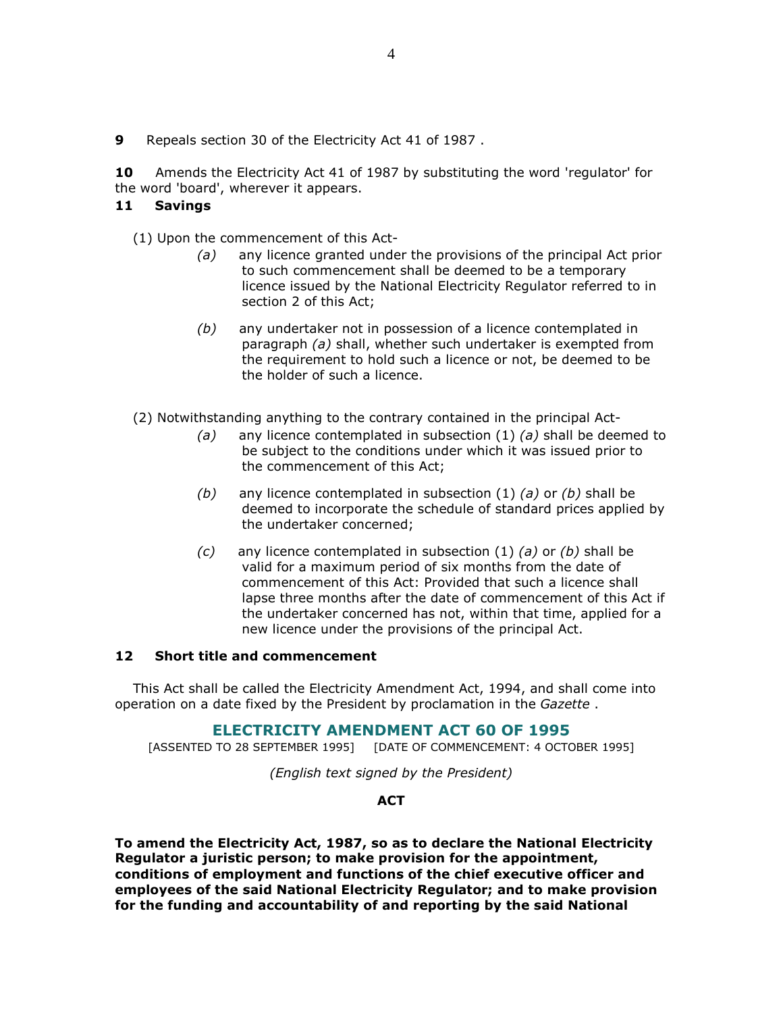9 Repeals section 30 of the Electricity Act 41 of 1987 .

10 Amends the Electricity Act 41 of 1987 by substituting the word 'regulator' for the word 'board', wherever it appears.

## 11 Savings

(1) Upon the commencement of this Act-

- (a) any licence granted under the provisions of the principal Act prior to such commencement shall be deemed to be a temporary licence issued by the National Electricity Regulator referred to in section 2 of this Act;
- $(b)$  any undertaker not in possession of a licence contemplated in paragraph (a) shall, whether such undertaker is exempted from the requirement to hold such a licence or not, be deemed to be the holder of such a licence.
- (2) Notwithstanding anything to the contrary contained in the principal Act-
	- (a) any licence contemplated in subsection (1) (a) shall be deemed to be subject to the conditions under which it was issued prior to the commencement of this Act;
	- (b) any licence contemplated in subsection  $(1)$   $(a)$  or  $(b)$  shall be deemed to incorporate the schedule of standard prices applied by the undertaker concerned;
	- $(c)$  any licence contemplated in subsection (1) (a) or (b) shall be valid for a maximum period of six months from the date of commencement of this Act: Provided that such a licence shall lapse three months after the date of commencement of this Act if the undertaker concerned has not, within that time, applied for a new licence under the provisions of the principal Act.

#### 12 Short title and commencement

 This Act shall be called the Electricity Amendment Act, 1994, and shall come into operation on a date fixed by the President by proclamation in the Gazette.

## ELECTRICITY AMENDMENT ACT 60 OF 1995

[ASSENTED TO 28 SEPTEMBER 1995] [DATE OF COMMENCEMENT: 4 OCTOBER 1995]

(English text signed by the President)

## **ACT**

To amend the Electricity Act, 1987, so as to declare the National Electricity Regulator a juristic person; to make provision for the appointment, conditions of employment and functions of the chief executive officer and employees of the said National Electricity Regulator; and to make provision for the funding and accountability of and reporting by the said National